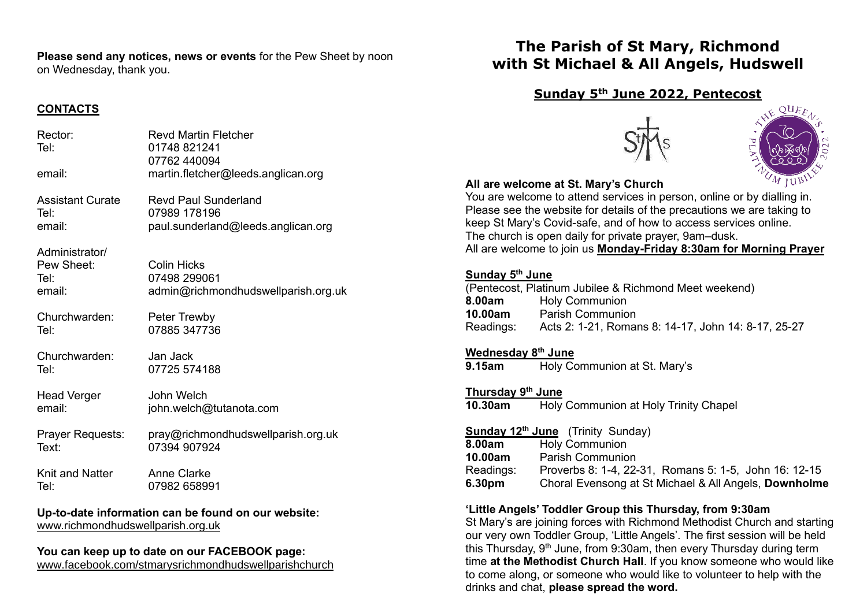**Please send any notices, news or events** for the Pew Sheet by noon on Wednesday, thank you.

## **CONTACTS**

| Rector:<br>Tel:                                                          | <b>Revd Martin Fletcher</b><br>01748 821241<br>07762 440094               |  |
|--------------------------------------------------------------------------|---------------------------------------------------------------------------|--|
| email:                                                                   | martin.fletcher@leeds.anglican.org                                        |  |
| <b>Assistant Curate</b>                                                  | <b>Revd Paul Sunderland</b>                                               |  |
| Tel:                                                                     | 07989 178196                                                              |  |
| email:                                                                   | paul.sunderland@leeds.anglican.org                                        |  |
| Administrator/<br>Pew Sheet:<br>Tel:<br>email:                           | <b>Colin Hicks</b><br>07498 299061<br>admin@richmondhudswellparish.org.uk |  |
| Churchwarden:                                                            | Peter Trewby                                                              |  |
| Tel:                                                                     | 07885 347736                                                              |  |
| Churchwarden:                                                            | Jan Jack                                                                  |  |
| Tel:                                                                     | 07725 574188                                                              |  |
| <b>Head Verger</b>                                                       | John Welch                                                                |  |
| email:                                                                   | john.welch@tutanota.com                                                   |  |
| Prayer Requests:                                                         | pray@richmondhudswellparish.org.uk                                        |  |
| Text:                                                                    | 07394 907924                                                              |  |
| <b>Knit and Natter</b>                                                   | <b>Anne Clarke</b>                                                        |  |
| Tel:                                                                     | 07982 658991                                                              |  |
| the to detected a<br>والمواط التقاصيات<br>والمستحدث والمعارفة والمستنبذة |                                                                           |  |

**Up-to-date information can be found on our website:** [www.richmondhudswellparish.org.uk](http://www.richmondhudswellparish.org.uk/)

#### **You can keep up to date on our FACEBOOK page:** [www.facebook.com/stmarysrichmondhudswellparishchurch](http://www.facebook.com/stmarysrichmondhudswellparishchurch)

**The Parish of St Mary, Richmond with St Michael & All Angels, Hudswell**

# **Sunday 5th June 2022, Pentecost**





## **All are welcome at St. Mary's Church**

You are welcome to attend services in person, online or by dialling in. Please see the website for details of the precautions we are taking to keep St Mary's Covid-safe, and of how to access services online. The church is open daily for private prayer, 9am–dusk. All are welcome to join us **Monday-Friday 8:30am for Morning Prayer**

## **Sunday 5 th June**

|           | (Pentecost, Platinum Jubilee & Richmond Meet weekend) |
|-----------|-------------------------------------------------------|
| 8.00am    | <b>Holy Communion</b>                                 |
| 10.00am   | <b>Parish Communion</b>                               |
| Readings: | Acts 2: 1-21, Romans 8: 14-17, John 14: 8-17, 25-27   |

## **Wednesday 8 th June**

**9.15am** Holy Communion at St. Mary's

**Thursday 9 th June 10.30am** Holy Communion at Holy Trinity Chapel

|           | <b>Sunday 12th June</b> (Trinity Sunday)              |
|-----------|-------------------------------------------------------|
| 8.00am    | <b>Holy Communion</b>                                 |
| 10.00am   | <b>Parish Communion</b>                               |
| Readings: | Proverbs 8: 1-4, 22-31, Romans 5: 1-5, John 16: 12-15 |
| 6.30pm    | Choral Evensong at St Michael & All Angels, Downholme |

## **'Little Angels' Toddler Group this Thursday, from 9:30am**

St Mary's are joining forces with Richmond Methodist Church and starting our very own Toddler Group, 'Little Angels'. The first session will be held this Thursday,  $9<sup>th</sup>$  June, from 9:30am, then every Thursday during term time **at the Methodist Church Hall**. If you know someone who would like to come along, or someone who would like to volunteer to help with the drinks and chat, **please spread the word.**